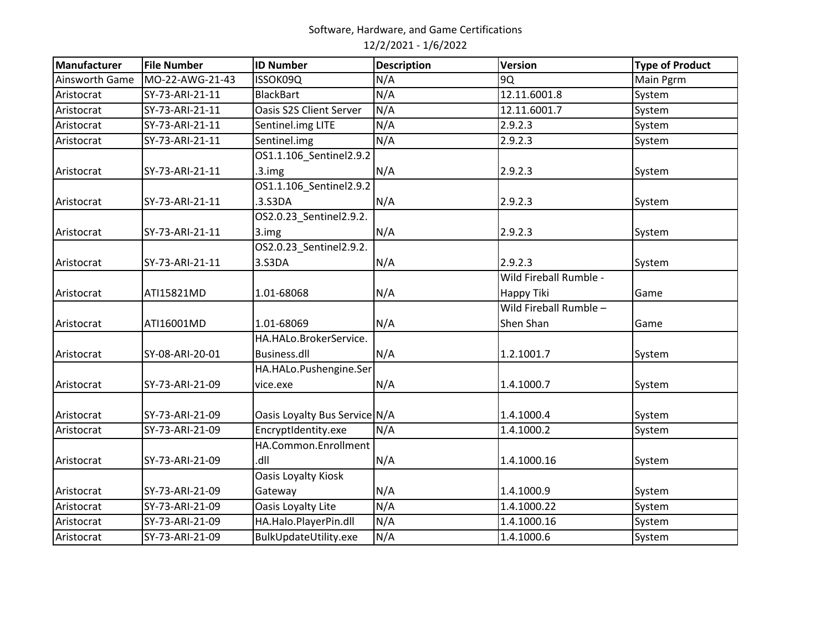| Manufacturer          | <b>File Number</b> | <b>ID Number</b>              | <b>Description</b> | Version                | <b>Type of Product</b> |
|-----------------------|--------------------|-------------------------------|--------------------|------------------------|------------------------|
| <b>Ainsworth Game</b> | MO-22-AWG-21-43    | ISSOK09Q                      | N/A                | 90                     | Main Pgrm              |
| Aristocrat            | SY-73-ARI-21-11    | <b>BlackBart</b>              | N/A                | 12.11.6001.8           | System                 |
| Aristocrat            | SY-73-ARI-21-11    | Oasis S2S Client Server       | N/A                | 12.11.6001.7           | System                 |
| Aristocrat            | SY-73-ARI-21-11    | Sentinel.img LITE             | N/A                | 2.9.2.3                | System                 |
| Aristocrat            | SY-73-ARI-21-11    | Sentinel.img                  | N/A                | 2.9.2.3                | System                 |
|                       |                    | OS1.1.106_Sentinel2.9.2       |                    |                        |                        |
| Aristocrat            | SY-73-ARI-21-11    | $.3.$ img                     | N/A                | 2.9.2.3                | System                 |
|                       |                    | 0S1.1.106_Sentinel2.9.2       |                    |                        |                        |
| Aristocrat            | SY-73-ARI-21-11    | .3.S3DA                       | N/A                | 2.9.2.3                | System                 |
|                       |                    | OS2.0.23_Sentinel2.9.2.       |                    |                        |                        |
| Aristocrat            | SY-73-ARI-21-11    | 3.img                         | N/A                | 2.9.2.3                | System                 |
|                       |                    | OS2.0.23_Sentinel2.9.2.       |                    |                        |                        |
| Aristocrat            | SY-73-ARI-21-11    | 3.S3DA                        | N/A                | 2.9.2.3                | System                 |
|                       |                    |                               |                    | Wild Fireball Rumble - |                        |
| Aristocrat            | ATI15821MD         | 1.01-68068                    | N/A                | Happy Tiki             | Game                   |
|                       |                    |                               |                    | Wild Fireball Rumble - |                        |
| Aristocrat            | ATI16001MD         | 1.01-68069                    | N/A                | Shen Shan              | Game                   |
|                       |                    | HA.HALo.BrokerService.        |                    |                        |                        |
| Aristocrat            | SY-08-ARI-20-01    | Business.dll                  | N/A                | 1.2.1001.7             | System                 |
|                       |                    | HA.HALo.Pushengine.Ser        |                    |                        |                        |
| Aristocrat            | SY-73-ARI-21-09    | vice.exe                      | N/A                | 1.4.1000.7             | System                 |
|                       |                    |                               |                    |                        |                        |
| Aristocrat            | SY-73-ARI-21-09    | Oasis Loyalty Bus Service N/A |                    | 1.4.1000.4             | System                 |
| Aristocrat            | SY-73-ARI-21-09    | EncryptIdentity.exe           | N/A                | 1.4.1000.2             | System                 |
|                       |                    | HA.Common.Enrollment          |                    |                        |                        |
| Aristocrat            | SY-73-ARI-21-09    | Ilb.                          | N/A                | 1.4.1000.16            | System                 |
|                       |                    | Oasis Loyalty Kiosk           |                    |                        |                        |
| Aristocrat            | SY-73-ARI-21-09    | Gateway                       | N/A                | 1.4.1000.9             | System                 |
| Aristocrat            | SY-73-ARI-21-09    | Oasis Loyalty Lite            | N/A                | 1.4.1000.22            | System                 |
| Aristocrat            | SY-73-ARI-21-09    | HA.Halo.PlayerPin.dll         | N/A                | 1.4.1000.16            | System                 |
| Aristocrat            | SY-73-ARI-21-09    | BulkUpdateUtility.exe         | N/A                | 1.4.1000.6             | System                 |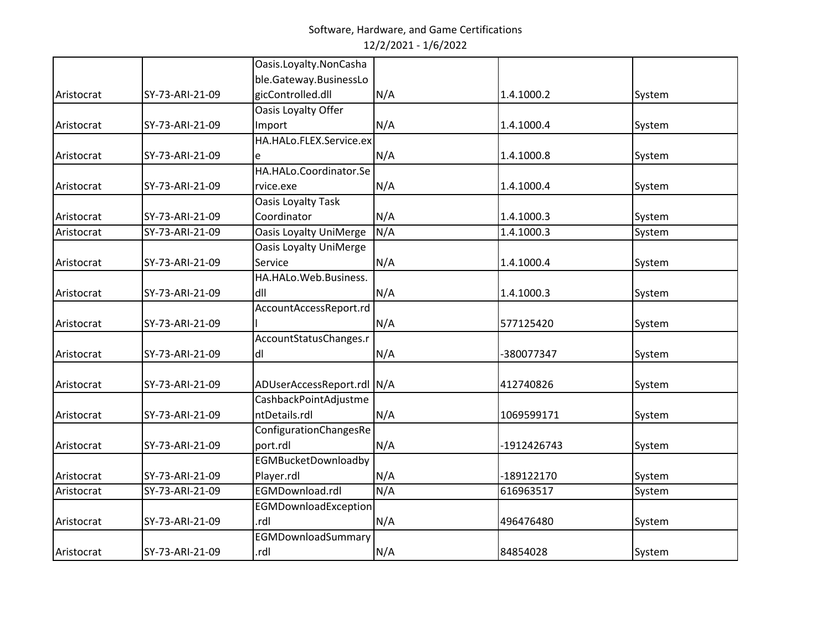|            |                 | Oasis.Loyalty.NonCasha        |     |             |        |
|------------|-----------------|-------------------------------|-----|-------------|--------|
|            |                 | ble.Gateway.BusinessLo        |     |             |        |
| Aristocrat | SY-73-ARI-21-09 | gicControlled.dll             | N/A | 1.4.1000.2  | System |
|            |                 | Oasis Loyalty Offer           |     |             |        |
| Aristocrat | SY-73-ARI-21-09 | Import                        | N/A | 1.4.1000.4  | System |
|            |                 | HA.HALo.FLEX.Service.ex       |     |             |        |
| Aristocrat | SY-73-ARI-21-09 | e                             | N/A | 1.4.1000.8  | System |
|            |                 | HA.HALo.Coordinator.Se        |     |             |        |
| Aristocrat | SY-73-ARI-21-09 | rvice.exe                     | N/A | 1.4.1000.4  | System |
|            |                 | <b>Oasis Loyalty Task</b>     |     |             |        |
| Aristocrat | SY-73-ARI-21-09 | Coordinator                   | N/A | 1.4.1000.3  | System |
| Aristocrat | SY-73-ARI-21-09 | <b>Oasis Loyalty UniMerge</b> | N/A | 1.4.1000.3  | System |
|            |                 | <b>Oasis Loyalty UniMerge</b> |     |             |        |
| Aristocrat | SY-73-ARI-21-09 | Service                       | N/A | 1.4.1000.4  | System |
|            |                 | HA.HALo.Web.Business.         |     |             |        |
| Aristocrat | SY-73-ARI-21-09 | dll                           | N/A | 1.4.1000.3  | System |
|            |                 | AccountAccessReport.rd        |     |             |        |
| Aristocrat | SY-73-ARI-21-09 |                               | N/A | 577125420   | System |
|            |                 | AccountStatusChanges.r        |     |             |        |
| Aristocrat | SY-73-ARI-21-09 | dl                            | N/A | -380077347  | System |
|            |                 |                               |     |             |        |
| Aristocrat | SY-73-ARI-21-09 | ADUserAccessReport.rdl N/A    |     | 412740826   | System |
|            |                 | CashbackPointAdjustme         |     |             |        |
| Aristocrat | SY-73-ARI-21-09 | ntDetails.rdl                 | N/A | 1069599171  | System |
|            |                 | ConfigurationChangesRe        |     |             |        |
| Aristocrat | SY-73-ARI-21-09 | port.rdl                      | N/A | -1912426743 | System |
|            |                 | <b>EGMBucketDownloadby</b>    |     |             |        |
| Aristocrat | SY-73-ARI-21-09 | Player.rdl                    | N/A | -189122170  | System |
| Aristocrat | SY-73-ARI-21-09 | EGMDownload.rdl               | N/A | 616963517   | System |
|            |                 | EGMDownloadException          |     |             |        |
| Aristocrat | SY-73-ARI-21-09 | .rdl                          | N/A | 496476480   | System |
|            |                 | EGMDownloadSummary            |     |             |        |
| Aristocrat | SY-73-ARI-21-09 | .rdl                          | N/A | 84854028    | System |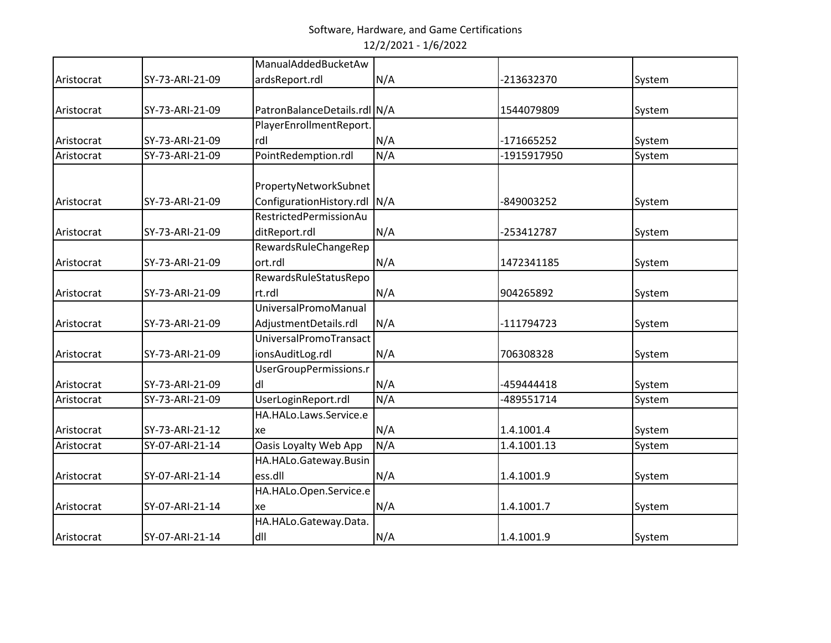|            |                 | ManualAddedBucketAw            |     |             |        |
|------------|-----------------|--------------------------------|-----|-------------|--------|
| Aristocrat | SY-73-ARI-21-09 | ardsReport.rdl                 | N/A | -213632370  | System |
|            |                 |                                |     |             |        |
| Aristocrat | SY-73-ARI-21-09 | PatronBalanceDetails.rdl N/A   |     | 1544079809  | System |
|            |                 | PlayerEnrollmentReport.        |     |             |        |
| Aristocrat | SY-73-ARI-21-09 | rdl                            | N/A | -171665252  | System |
| Aristocrat | SY-73-ARI-21-09 | PointRedemption.rdl            | N/A | -1915917950 | System |
|            |                 |                                |     |             |        |
|            |                 | PropertyNetworkSubnet          |     |             |        |
| Aristocrat | SY-73-ARI-21-09 | ConfigurationHistory.rdl   N/A |     | -849003252  | System |
|            |                 | RestrictedPermissionAu         |     |             |        |
| Aristocrat | SY-73-ARI-21-09 | ditReport.rdl                  | N/A | -253412787  | System |
|            |                 | RewardsRuleChangeRep           |     |             |        |
| Aristocrat | SY-73-ARI-21-09 | ort.rdl                        | N/A | 1472341185  | System |
|            |                 | RewardsRuleStatusRepo          |     |             |        |
| Aristocrat | SY-73-ARI-21-09 | rt.rdl                         | N/A | 904265892   | System |
|            |                 | UniversalPromoManual           |     |             |        |
| Aristocrat | SY-73-ARI-21-09 | AdjustmentDetails.rdl          | N/A | -111794723  | System |
|            |                 | UniversalPromoTransact         |     |             |        |
| Aristocrat | SY-73-ARI-21-09 | ionsAuditLog.rdl               | N/A | 706308328   | System |
|            |                 | UserGroupPermissions.r         |     |             |        |
| Aristocrat | SY-73-ARI-21-09 | dl                             | N/A | -459444418  | System |
| Aristocrat | SY-73-ARI-21-09 | UserLoginReport.rdl            | N/A | -489551714  | System |
|            |                 | HA.HALo.Laws.Service.e         |     |             |        |
| Aristocrat | SY-73-ARI-21-12 | xe                             | N/A | 1.4.1001.4  | System |
| Aristocrat | SY-07-ARI-21-14 | Oasis Loyalty Web App          | N/A | 1.4.1001.13 | System |
|            |                 | HA.HALo.Gateway.Busin          |     |             |        |
| Aristocrat | SY-07-ARI-21-14 | ess.dll                        | N/A | 1.4.1001.9  | System |
|            |                 | HA.HALo.Open.Service.e         |     |             |        |
| Aristocrat | SY-07-ARI-21-14 | xe                             | N/A | 1.4.1001.7  | System |
|            |                 | HA.HALo.Gateway.Data.          |     |             |        |
| Aristocrat | SY-07-ARI-21-14 | dll                            | N/A | 1.4.1001.9  | System |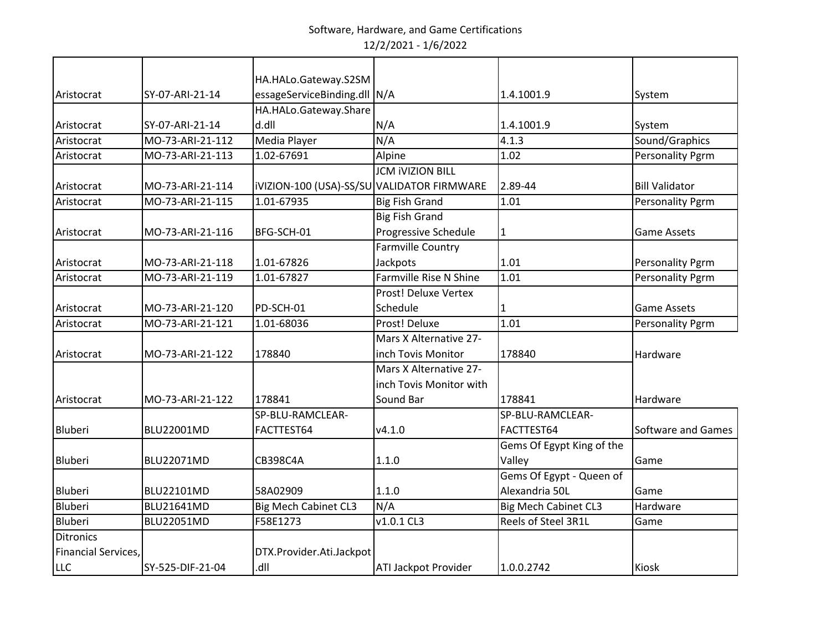|                     |                   | HA.HALo.Gateway.S2SM                       |                             |                             |                         |
|---------------------|-------------------|--------------------------------------------|-----------------------------|-----------------------------|-------------------------|
| Aristocrat          | SY-07-ARI-21-14   | essageServiceBinding.dll N/A               |                             | 1.4.1001.9                  | System                  |
|                     |                   | HA.HALo.Gateway.Share                      |                             |                             |                         |
| Aristocrat          | SY-07-ARI-21-14   | d.dll                                      | N/A                         | 1.4.1001.9                  | System                  |
| Aristocrat          | MO-73-ARI-21-112  | Media Player                               | N/A                         | 4.1.3                       | Sound/Graphics          |
| Aristocrat          | MO-73-ARI-21-113  | 1.02-67691                                 | Alpine                      | 1.02                        | <b>Personality Pgrm</b> |
|                     |                   |                                            | <b>JCM IVIZION BILL</b>     |                             |                         |
| Aristocrat          | MO-73-ARI-21-114  | IVIZION-100 (USA)-SS/SU VALIDATOR FIRMWARE |                             | 2.89-44                     | <b>Bill Validator</b>   |
| Aristocrat          | MO-73-ARI-21-115  | 1.01-67935                                 | <b>Big Fish Grand</b>       | 1.01                        | <b>Personality Pgrm</b> |
|                     |                   |                                            | <b>Big Fish Grand</b>       |                             |                         |
| Aristocrat          | MO-73-ARI-21-116  | BFG-SCH-01                                 | Progressive Schedule        | 1                           | <b>Game Assets</b>      |
|                     |                   |                                            | <b>Farmville Country</b>    |                             |                         |
| Aristocrat          | MO-73-ARI-21-118  | 1.01-67826                                 | Jackpots                    | 1.01                        | <b>Personality Pgrm</b> |
| Aristocrat          | MO-73-ARI-21-119  | 1.01-67827                                 | Farmville Rise N Shine      | 1.01                        | <b>Personality Pgrm</b> |
|                     |                   |                                            | <b>Prost! Deluxe Vertex</b> |                             |                         |
| Aristocrat          | MO-73-ARI-21-120  | PD-SCH-01                                  | Schedule                    | 1                           | <b>Game Assets</b>      |
| Aristocrat          | MO-73-ARI-21-121  | 1.01-68036                                 | Prost! Deluxe               | 1.01                        | <b>Personality Pgrm</b> |
|                     |                   |                                            | Mars X Alternative 27-      |                             |                         |
| Aristocrat          | MO-73-ARI-21-122  | 178840                                     | inch Tovis Monitor          | 178840                      | Hardware                |
|                     |                   |                                            | Mars X Alternative 27-      |                             |                         |
|                     |                   |                                            | inch Tovis Monitor with     |                             |                         |
| Aristocrat          | MO-73-ARI-21-122  | 178841                                     | Sound Bar                   | 178841                      | Hardware                |
|                     |                   | SP-BLU-RAMCLEAR-                           |                             | SP-BLU-RAMCLEAR-            |                         |
| Bluberi             | BLU22001MD        | FACTTEST64                                 | v4.1.0                      | FACTTEST64                  | Software and Games      |
|                     |                   |                                            |                             | Gems Of Egypt King of the   |                         |
| Bluberi             | <b>BLU22071MD</b> | CB398C4A                                   | 1.1.0                       | Valley                      | Game                    |
|                     |                   |                                            |                             | Gems Of Egypt - Queen of    |                         |
| Bluberi             | <b>BLU22101MD</b> | 58A02909                                   | 1.1.0                       | Alexandria 50L              | Game                    |
| Bluberi             | <b>BLU21641MD</b> | <b>Big Mech Cabinet CL3</b>                | N/A                         | <b>Big Mech Cabinet CL3</b> | Hardware                |
| Bluberi             | BLU22051MD        | F58E1273                                   | v1.0.1 CL3                  | Reels of Steel 3R1L         | Game                    |
| <b>Ditronics</b>    |                   |                                            |                             |                             |                         |
| Financial Services, |                   | DTX.Provider.Ati.Jackpot                   |                             |                             |                         |
| <b>LLC</b>          | SY-525-DIF-21-04  | llb.                                       | <b>ATI Jackpot Provider</b> | 1.0.0.2742                  | <b>Kiosk</b>            |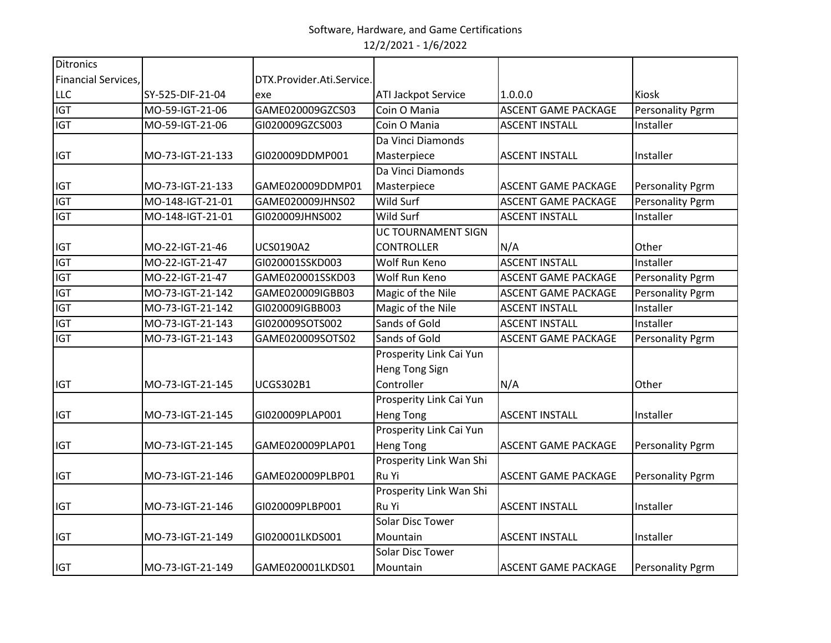| Ditronics                  |                  |                           |                            |                            |                         |
|----------------------------|------------------|---------------------------|----------------------------|----------------------------|-------------------------|
| <b>Financial Services,</b> |                  | DTX.Provider.Ati.Service. |                            |                            |                         |
| <b>LLC</b>                 | SY-525-DIF-21-04 | exe                       | <b>ATI Jackpot Service</b> | 1.0.0.0                    | Kiosk                   |
| <b>IGT</b>                 | MO-59-IGT-21-06  | GAME020009GZCS03          | Coin O Mania               | <b>ASCENT GAME PACKAGE</b> | <b>Personality Pgrm</b> |
| <b>IGT</b>                 | MO-59-IGT-21-06  | GI020009GZCS003           | Coin O Mania               | <b>ASCENT INSTALL</b>      | Installer               |
|                            |                  |                           | Da Vinci Diamonds          |                            |                         |
| <b>IGT</b>                 | MO-73-IGT-21-133 | GI020009DDMP001           | Masterpiece                | <b>ASCENT INSTALL</b>      | Installer               |
|                            |                  |                           | Da Vinci Diamonds          |                            |                         |
| <b>IGT</b>                 | MO-73-IGT-21-133 | GAME020009DDMP01          | Masterpiece                | <b>ASCENT GAME PACKAGE</b> | Personality Pgrm        |
| <b>IGT</b>                 | MO-148-IGT-21-01 | GAME020009JHNS02          | Wild Surf                  | <b>ASCENT GAME PACKAGE</b> | <b>Personality Pgrm</b> |
| <b>IGT</b>                 | MO-148-IGT-21-01 | GI020009JHNS002           | Wild Surf                  | <b>ASCENT INSTALL</b>      | Installer               |
|                            |                  |                           | UC TOURNAMENT SIGN         |                            |                         |
| <b>IGT</b>                 | MO-22-IGT-21-46  | UCS0190A2                 | <b>CONTROLLER</b>          | N/A                        | Other                   |
| <b>IGT</b>                 | MO-22-IGT-21-47  | GI020001SSKD003           | Wolf Run Keno              | <b>ASCENT INSTALL</b>      | Installer               |
| <b>IGT</b>                 | MO-22-IGT-21-47  | GAME020001SSKD03          | Wolf Run Keno              | <b>ASCENT GAME PACKAGE</b> | <b>Personality Pgrm</b> |
| <b>IGT</b>                 | MO-73-IGT-21-142 | GAME020009IGBB03          | Magic of the Nile          | <b>ASCENT GAME PACKAGE</b> | <b>Personality Pgrm</b> |
| <b>IGT</b>                 | MO-73-IGT-21-142 | GI020009IGBB003           | Magic of the Nile          | <b>ASCENT INSTALL</b>      | Installer               |
| <b>IGT</b>                 | MO-73-IGT-21-143 | GI020009SOTS002           | Sands of Gold              | <b>ASCENT INSTALL</b>      | Installer               |
| <b>IGT</b>                 | MO-73-IGT-21-143 | GAME020009SOTS02          | Sands of Gold              | <b>ASCENT GAME PACKAGE</b> | <b>Personality Pgrm</b> |
|                            |                  |                           | Prosperity Link Cai Yun    |                            |                         |
|                            |                  |                           | <b>Heng Tong Sign</b>      |                            |                         |
| <b>IGT</b>                 | MO-73-IGT-21-145 | <b>UCGS302B1</b>          | Controller                 | N/A                        | Other                   |
|                            |                  |                           | Prosperity Link Cai Yun    |                            |                         |
| <b>IGT</b>                 | MO-73-IGT-21-145 | GI020009PLAP001           | <b>Heng Tong</b>           | <b>ASCENT INSTALL</b>      | Installer               |
|                            |                  |                           | Prosperity Link Cai Yun    |                            |                         |
| <b>IGT</b>                 | MO-73-IGT-21-145 | GAME020009PLAP01          | <b>Heng Tong</b>           | ASCENT GAME PACKAGE        | <b>Personality Pgrm</b> |
|                            |                  |                           | Prosperity Link Wan Shi    |                            |                         |
| <b>IGT</b>                 | MO-73-IGT-21-146 | GAME020009PLBP01          | Ru Yi                      | <b>ASCENT GAME PACKAGE</b> | <b>Personality Pgrm</b> |
|                            |                  |                           | Prosperity Link Wan Shi    |                            |                         |
| <b>IGT</b>                 | MO-73-IGT-21-146 | GI020009PLBP001           | Ru Yi                      | <b>ASCENT INSTALL</b>      | Installer               |
|                            |                  |                           | <b>Solar Disc Tower</b>    |                            |                         |
| <b>IGT</b>                 | MO-73-IGT-21-149 | GI020001LKDS001           | Mountain                   | <b>ASCENT INSTALL</b>      | Installer               |
|                            |                  |                           | <b>Solar Disc Tower</b>    |                            |                         |
| <b>IGT</b>                 | MO-73-IGT-21-149 | GAME020001LKDS01          | Mountain                   | ASCENT GAME PACKAGE        | <b>Personality Pgrm</b> |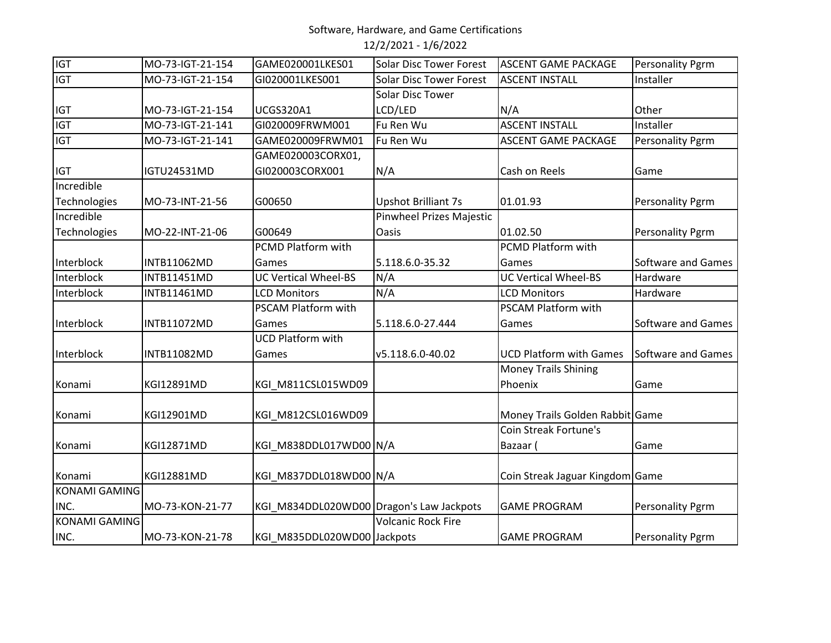# Software, Hardware, and Game Certifications

12/2/2021 - 1/6/2022

| <b>IGT</b>           | MO-73-IGT-21-154   | GAME020001LKES01                         | <b>Solar Disc Tower Forest</b> | <b>ASCENT GAME PACKAGE</b>      | Personality Pgrm          |
|----------------------|--------------------|------------------------------------------|--------------------------------|---------------------------------|---------------------------|
| <b>IGT</b>           | MO-73-IGT-21-154   | GI020001LKES001                          | <b>Solar Disc Tower Forest</b> | <b>ASCENT INSTALL</b>           | Installer                 |
|                      |                    |                                          | Solar Disc Tower               |                                 |                           |
| <b>IGT</b>           | MO-73-IGT-21-154   | <b>UCGS320A1</b>                         | LCD/LED                        | N/A                             | Other                     |
| <b>IGT</b>           | MO-73-IGT-21-141   | GI020009FRWM001                          | Fu Ren Wu                      | <b>ASCENT INSTALL</b>           | Installer                 |
| <b>IGT</b>           | MO-73-IGT-21-141   | GAME020009FRWM01                         | Fu Ren Wu                      | <b>ASCENT GAME PACKAGE</b>      | <b>Personality Pgrm</b>   |
|                      |                    | GAME020003CORX01,                        |                                |                                 |                           |
| <b>IGT</b>           | IGTU24531MD        | GI020003CORX001                          | N/A                            | Cash on Reels                   | Game                      |
| Incredible           |                    |                                          |                                |                                 |                           |
| Technologies         | MO-73-INT-21-56    | G00650                                   | <b>Upshot Brilliant 7s</b>     | 01.01.93                        | Personality Pgrm          |
| Incredible           |                    |                                          | Pinwheel Prizes Majestic       |                                 |                           |
| Technologies         | MO-22-INT-21-06    | G00649                                   | Oasis                          | 01.02.50                        | Personality Pgrm          |
|                      |                    | PCMD Platform with                       |                                | PCMD Platform with              |                           |
| Interblock           | INTB11062MD        | Games                                    | 5.118.6.0-35.32                | Games                           | Software and Games        |
| Interblock           | <b>INTB11451MD</b> | <b>UC Vertical Wheel-BS</b>              | N/A                            | <b>UC Vertical Wheel-BS</b>     | Hardware                  |
| Interblock           | <b>INTB11461MD</b> | <b>LCD Monitors</b>                      | N/A                            | <b>LCD Monitors</b>             | Hardware                  |
|                      |                    | PSCAM Platform with                      |                                | PSCAM Platform with             |                           |
| Interblock           | <b>INTB11072MD</b> | Games                                    | 5.118.6.0-27.444               | Games                           | Software and Games        |
|                      |                    | <b>UCD Platform with</b>                 |                                |                                 |                           |
| Interblock           | <b>INTB11082MD</b> | Games                                    | v5.118.6.0-40.02               | <b>UCD Platform with Games</b>  | <b>Software and Games</b> |
|                      |                    |                                          |                                | <b>Money Trails Shining</b>     |                           |
| Konami               | KGI12891MD         | KGI_M811CSL015WD09                       |                                | Phoenix                         | Game                      |
|                      |                    |                                          |                                |                                 |                           |
| Konami               | KGI12901MD         | KGI M812CSL016WD09                       |                                | Money Trails Golden Rabbit Game |                           |
|                      |                    |                                          |                                | Coin Streak Fortune's           |                           |
| Konami               | KGI12871MD         | KGI_M838DDL017WD00 N/A                   |                                | Bazaar (                        | Game                      |
|                      |                    |                                          |                                |                                 |                           |
| Konami               | KGI12881MD         | KGI_M837DDL018WD00 N/A                   |                                | Coin Streak Jaguar Kingdom Game |                           |
| <b>KONAMI GAMING</b> |                    |                                          |                                |                                 |                           |
| INC.                 | MO-73-KON-21-77    | KGI_M834DDL020WD00 Dragon's Law Jackpots |                                | <b>GAME PROGRAM</b>             | <b>Personality Pgrm</b>   |
| <b>KONAMI GAMING</b> |                    |                                          | <b>Volcanic Rock Fire</b>      |                                 |                           |
|                      |                    |                                          |                                |                                 |                           |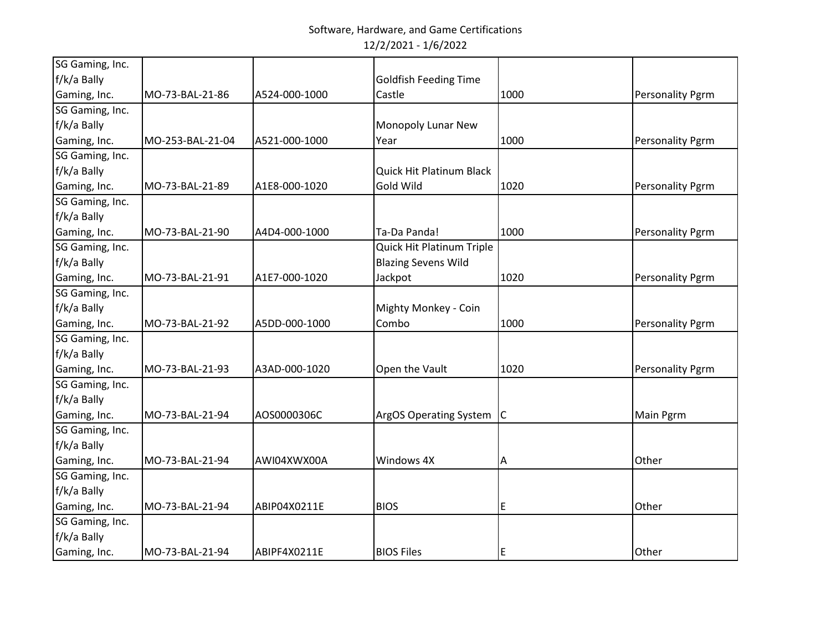| SG Gaming, Inc. |                  |               |                                 |      |                         |
|-----------------|------------------|---------------|---------------------------------|------|-------------------------|
| f/k/a Bally     |                  |               | <b>Goldfish Feeding Time</b>    |      |                         |
| Gaming, Inc.    | MO-73-BAL-21-86  | A524-000-1000 | Castle                          | 1000 | <b>Personality Pgrm</b> |
| SG Gaming, Inc. |                  |               |                                 |      |                         |
| f/k/a Bally     |                  |               | Monopoly Lunar New              |      |                         |
| Gaming, Inc.    | MO-253-BAL-21-04 | A521-000-1000 | Year                            | 1000 | <b>Personality Pgrm</b> |
| SG Gaming, Inc. |                  |               |                                 |      |                         |
| f/k/a Bally     |                  |               | <b>Quick Hit Platinum Black</b> |      |                         |
| Gaming, Inc.    | MO-73-BAL-21-89  | A1E8-000-1020 | Gold Wild                       | 1020 | <b>Personality Pgrm</b> |
| SG Gaming, Inc. |                  |               |                                 |      |                         |
| f/k/a Bally     |                  |               |                                 |      |                         |
| Gaming, Inc.    | MO-73-BAL-21-90  | A4D4-000-1000 | Ta-Da Panda!                    | 1000 | Personality Pgrm        |
| SG Gaming, Inc. |                  |               | Quick Hit Platinum Triple       |      |                         |
| f/k/a Bally     |                  |               | <b>Blazing Sevens Wild</b>      |      |                         |
| Gaming, Inc.    | MO-73-BAL-21-91  | A1E7-000-1020 | Jackpot                         | 1020 | <b>Personality Pgrm</b> |
| SG Gaming, Inc. |                  |               |                                 |      |                         |
| f/k/a Bally     |                  |               | Mighty Monkey - Coin            |      |                         |
| Gaming, Inc.    | MO-73-BAL-21-92  | A5DD-000-1000 | Combo                           | 1000 | <b>Personality Pgrm</b> |
| SG Gaming, Inc. |                  |               |                                 |      |                         |
| f/k/a Bally     |                  |               |                                 |      |                         |
| Gaming, Inc.    | MO-73-BAL-21-93  | A3AD-000-1020 | Open the Vault                  | 1020 | Personality Pgrm        |
| SG Gaming, Inc. |                  |               |                                 |      |                         |
| f/k/a Bally     |                  |               |                                 |      |                         |
| Gaming, Inc.    | MO-73-BAL-21-94  | AOS0000306C   | ArgOS Operating System C        |      | <b>Main Pgrm</b>        |
| SG Gaming, Inc. |                  |               |                                 |      |                         |
| f/k/a Bally     |                  |               |                                 |      |                         |
| Gaming, Inc.    | MO-73-BAL-21-94  | AWI04XWX00A   | Windows 4X                      | Α    | Other                   |
| SG Gaming, Inc. |                  |               |                                 |      |                         |
| f/k/a Bally     |                  |               |                                 |      |                         |
| Gaming, Inc.    | MO-73-BAL-21-94  | ABIP04X0211E  | <b>BIOS</b>                     | E    | Other                   |
| SG Gaming, Inc. |                  |               |                                 |      |                         |
| f/k/a Bally     |                  |               |                                 |      |                         |
| Gaming, Inc.    | MO-73-BAL-21-94  | ABIPF4X0211E  | <b>BIOS Files</b>               | E    | Other                   |